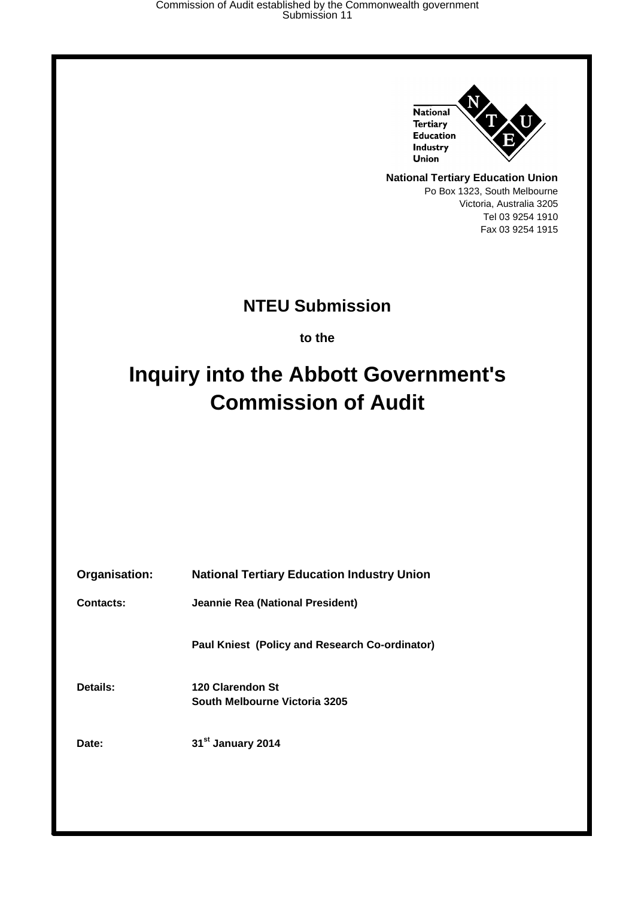

**National Tertiary Education Union** Po Box 1323, South Melbourne Victoria, Australia 3205 Tel 03 9254 1910 Fax 03 9254 1915

### **NTEU Submission**

**to the**

# **Inquiry into the Abbott Government's Commission of Audit**

| Organisation: | <b>National Tertiary Education Industry Union</b> |
|---------------|---------------------------------------------------|
| Contacts:     | <b>Jeannie Rea (National President)</b>           |
|               | Paul Kniest (Policy and Research Co-ordinator)    |
| Details:      | 120 Clarendon St<br>South Melbourne Victoria 3205 |
| Date:         | 31 <sup>st</sup> January 2014                     |
|               |                                                   |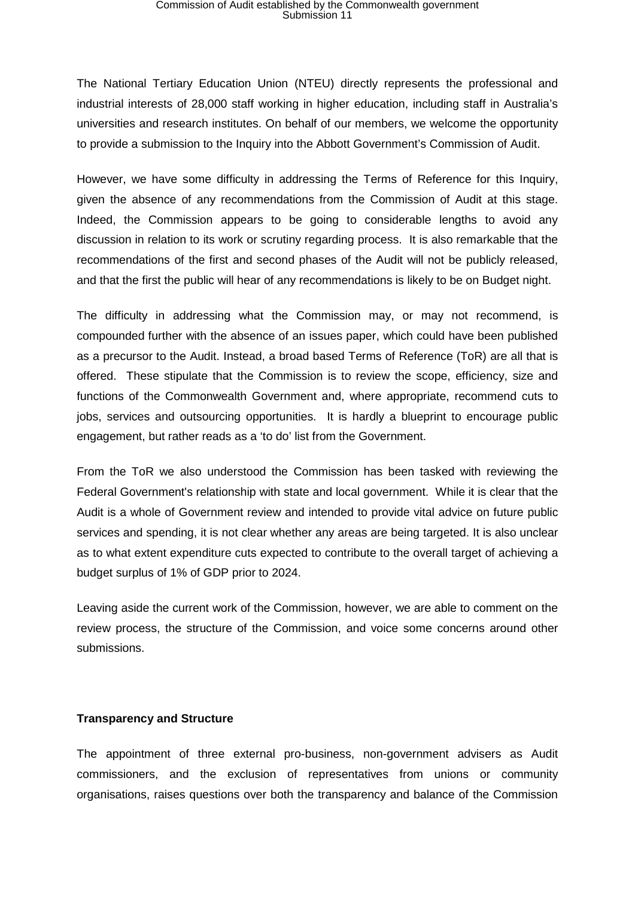## Commission of Audit established by the Commonwealth government Submission 11

The National Tertiary Education Union (NTEU) directly represents the professional and industrial interests of 28,000 staff working in higher education, including staff in Australia's universities and research institutes. On behalf of our members, we welcome the opportunity to provide a submission to the Inquiry into the Abbott Government's Commission of Audit.

However, we have some difficulty in addressing the Terms of Reference for this Inquiry, given the absence of any recommendations from the Commission of Audit at this stage. Indeed, the Commission appears to be going to considerable lengths to avoid any discussion in relation to its work or scrutiny regarding process. It is also remarkable that the recommendations of the first and second phases of the Audit will not be publicly released, and that the first the public will hear of any recommendations is likely to be on Budget night.

The difficulty in addressing what the Commission may, or may not recommend, is compounded further with the absence of an issues paper, which could have been published as a precursor to the Audit. Instead, a broad based Terms of Reference (ToR) are all that is offered. These stipulate that the Commission is to review the scope, efficiency, size and functions of the Commonwealth Government and, where appropriate, recommend cuts to jobs, services and outsourcing opportunities. It is hardly a blueprint to encourage public engagement, but rather reads as a 'to do' list from the Government.

From the ToR we also understood the Commission has been tasked with reviewing the Federal Government's relationship with state and local government. While it is clear that the Audit is a whole of Government review and intended to provide vital advice on future public services and spending, it is not clear whether any areas are being targeted. It is also unclear as to what extent expenditure cuts expected to contribute to the overall target of achieving a budget surplus of 1% of GDP prior to 2024.

Leaving aside the current work of the Commission, however, we are able to comment on the review process, the structure of the Commission, and voice some concerns around other submissions.

#### **Transparency and Structure**

The appointment of three external pro-business, non-government advisers as Audit commissioners, and the exclusion of representatives from unions or community organisations, raises questions over both the transparency and balance of the Commission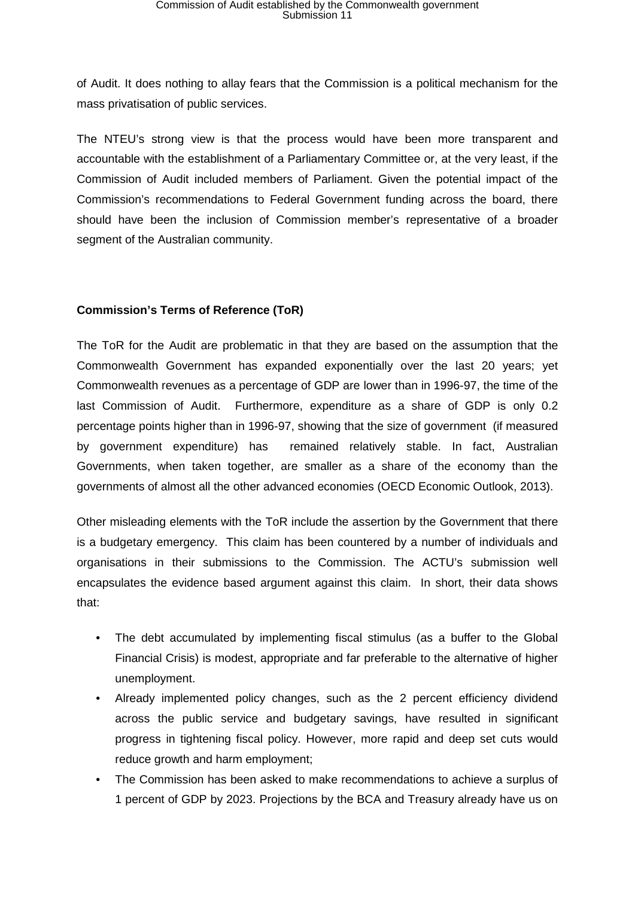of Audit. It does nothing to allay fears that the Commission is a political mechanism for the mass privatisation of public services.

The NTEU's strong view is that the process would have been more transparent and accountable with the establishment of a Parliamentary Committee or, at the very least, if the Commission of Audit included members of Parliament. Given the potential impact of the Commission's recommendations to Federal Government funding across the board, there should have been the inclusion of Commission member's representative of a broader segment of the Australian community.

### **Commission's Terms of Reference (ToR)**

The ToR for the Audit are problematic in that they are based on the assumption that the Commonwealth Government has expanded exponentially over the last 20 years; yet Commonwealth revenues as a percentage of GDP are lower than in 1996-97, the time of the last Commission of Audit. Furthermore, expenditure as a share of GDP is only 0.2 percentage points higher than in 1996-97, showing that the size of government (if measured by government expenditure) has remained relatively stable. In fact, Australian Governments, when taken together, are smaller as a share of the economy than the governments of almost all the other advanced economies (OECD Economic Outlook, 2013).

Other misleading elements with the ToR include the assertion by the Government that there is a budgetary emergency. This claim has been countered by a number of individuals and organisations in their submissions to the Commission. The ACTU's submission well encapsulates the evidence based argument against this claim. In short, their data shows that:

- The debt accumulated by implementing fiscal stimulus (as a buffer to the Global Financial Crisis) is modest, appropriate and far preferable to the alternative of higher unemployment.
- Already implemented policy changes, such as the 2 percent efficiency dividend across the public service and budgetary savings, have resulted in significant progress in tightening fiscal policy. However, more rapid and deep set cuts would reduce growth and harm employment;
- The Commission has been asked to make recommendations to achieve a surplus of 1 percent of GDP by 2023. Projections by the BCA and Treasury already have us on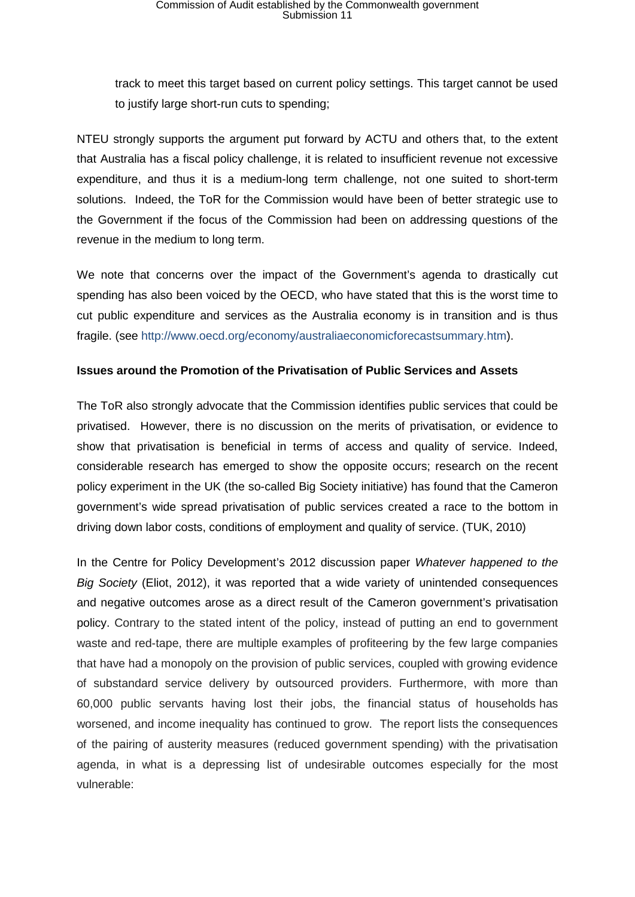track to meet this target based on current policy settings. This target cannot be used to justify large short-run cuts to spending;

NTEU strongly supports the argument put forward by ACTU and others that, to the extent that Australia has a fiscal policy challenge, it is related to insufficient revenue not excessive expenditure, and thus it is a medium-long term challenge, not one suited to short-term solutions. Indeed, the ToR for the Commission would have been of better strategic use to the Government if the focus of the Commission had been on addressing questions of the revenue in the medium to long term.

We note that concerns over the impact of the Government's agenda to drastically cut spending has also been voiced by the OECD, who have stated that this is the worst time to cut public expenditure and services as the Australia economy is in transition and is thus fragile. (see [http://www.oecd.org/economy/australiaeconomicforecastsummary.htm\)](http://www.oecd.org/economy/australiaeconomicforecastsummary.htm).

#### **Issues around the Promotion of the Privatisation of Public Services and Assets**

The ToR also strongly advocate that the Commission identifies public services that could be privatised. However, there is no discussion on the merits of privatisation, or evidence to show that privatisation is beneficial in terms of access and quality of service. Indeed, considerable research has emerged to show the opposite occurs; research on the recent policy experiment in the UK (the so-called Big Society initiative) has found that the Cameron government's wide spread privatisation of public services created a race to the bottom in driving down labor costs, conditions of employment and quality of service. (TUK, 2010)

In the Centre for Policy Development's 2012 discussion paper *Whatever happened to the Big Society* (Eliot, 2012), it was reported that a wide variety of unintended consequences and negative outcomes arose as a direct result of the Cameron government's privatisation policy. Contrary to the stated intent of the policy, instead of putting an end to government waste and red-tape, there are multiple examples of profiteering by the few large companies that have had a monopoly on the provision of public services, coupled with growing evidence of substandard service delivery by outsourced providers. Furthermore, with more than 60,000 public servants having lost their jobs, the financial status of households has worsened, and income inequality has continued to grow. The report lists the consequences of the pairing of austerity measures (reduced government spending) with the privatisation agenda, in what is a depressing list of undesirable outcomes especially for the most vulnerable: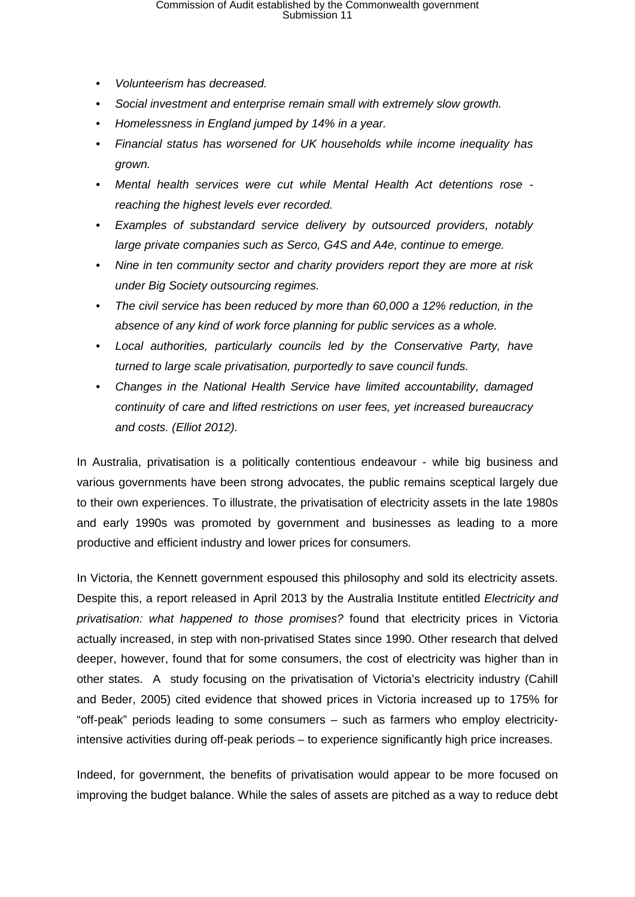- *Volunteerism has decreased.*
- *Social investment and enterprise remain small with extremely slow growth.*
- *Homelessness in England jumped by 14% in a year.*
- *Financial status has worsened for UK households while income inequality has grown.*
- *Mental health services were cut while Mental Health Act detentions rose reaching the highest levels ever recorded.*
- *Examples of substandard service delivery by outsourced providers, notably large private companies such as Serco, G4S and A4e, continue to emerge.*
- *Nine in ten community sector and charity providers report they are more at risk under Big Society outsourcing regimes.*
- *The civil service has been reduced by more than 60,000 a 12% reduction, in the absence of any kind of work force planning for public services as a whole.*
- *Local authorities, particularly councils led by the Conservative Party, have turned to large scale privatisation, purportedly to save council funds.*
- *Changes in the National Health Service have limited accountability, damaged continuity of care and lifted restrictions on user fees, yet increased bureaucracy and costs. (Elliot 2012).*

In Australia, privatisation is a politically contentious endeavour - while big business and various governments have been strong advocates, the public remains sceptical largely due to their own experiences. To illustrate, the privatisation of electricity assets in the late 1980s and early 1990s was promoted by government and businesses as leading to a more productive and efficient industry and lower prices for consumers.

In Victoria, the Kennett government espoused this philosophy and sold its electricity assets. Despite this, a [report released in April 2013 by the Australia Institute](http://www.tai.org.au/content/electricity-and-privatisation-what-happened-those-promises) entitled *Electricity and privatisation: what happened to those promises?* found that electricity prices in Victoria actually increased, in step with non-privatised States since 1990. Other research that delved deeper, however, found that for some consumers, the cost of electricity was higher than in other states. A study focusing on the privatisation of Victoria's electricity industry (Cahill and Beder, 2005) cited evidence that showed prices in Victoria increased up to 175% for "off-peak" periods leading to some consumers – such as farmers who employ electricityintensive activities during off-peak periods – to experience significantly high price increases.

Indeed, for government, the benefits of privatisation would appear to be more focused on improving the budget balance. While the sales of assets are pitched as a way to reduce debt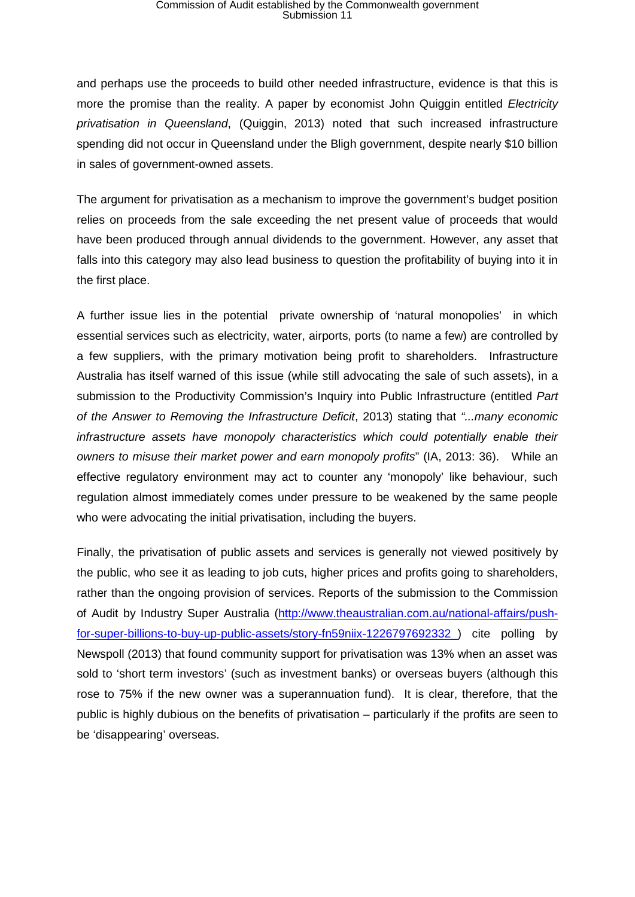## Commission of Audit established by the Commonwealth government Submission 11

and perhaps use the proceeds to build other needed infrastructure, evidence is that this is more the promise than the reality. A paper by economist John Quiggin entitled *Electricity privatisation in Queensland*, (Quiggin, 2013) noted that such increased infrastructure spending did not occur in Queensland under the Bligh government, despite nearly \$10 billion in sales of government-owned assets.

The argument for privatisation as a mechanism to improve the government's budget position relies on proceeds from the sale exceeding the net present value of proceeds that would have been produced through annual dividends to the government. However, any asset that falls into this category may also lead business to question the profitability of buying into it in the first place.

A further issue lies in the potential private ownership of 'natural monopolies' in which essential services such as electricity, water, airports, ports (to name a few) are controlled by a few suppliers, with the primary motivation being profit to shareholders. Infrastructure Australia has itself warned of this issue (while still advocating the sale of such assets), in a submission to the Productivity Commission's Inquiry into Public Infrastructure (entitled *Part of the Answer to Removing the Infrastructure Deficit*, 2013) stating that *"...many economic infrastructure assets have monopoly characteristics which could potentially enable their owners to misuse their market power and earn monopoly profits*" (IA, 2013: 36). While an effective regulatory environment may act to counter any 'monopoly' like behaviour, such regulation almost immediately comes under pressure to be weakened by the same people who were advocating the initial privatisation, including the buyers.

Finally, the privatisation of public assets and services is generally not viewed positively by the public, who see it as leading to job cuts, higher prices and profits going to shareholders, rather than the ongoing provision of services. Reports of the submission to the Commission of Audit by Industry Super Australia [\(http://www.theaustralian.com.au/national-affairs/push](http://www.theaustralian.com.au/national-affairs/push-for-super-billions-to-buy-up-public-assets/story-fn59niix-1226797692332_)[for-super-billions-to-buy-up-public-assets/story-fn59niix-1226797692332\\_\)](http://www.theaustralian.com.au/national-affairs/push-for-super-billions-to-buy-up-public-assets/story-fn59niix-1226797692332_) cite polling by Newspoll (2013) that found community support for privatisation was 13% when an asset was sold to 'short term investors' (such as investment banks) or overseas buyers (although this rose to 75% if the new owner was a superannuation fund). It is clear, therefore, that the public is highly dubious on the benefits of privatisation – particularly if the profits are seen to be 'disappearing' overseas.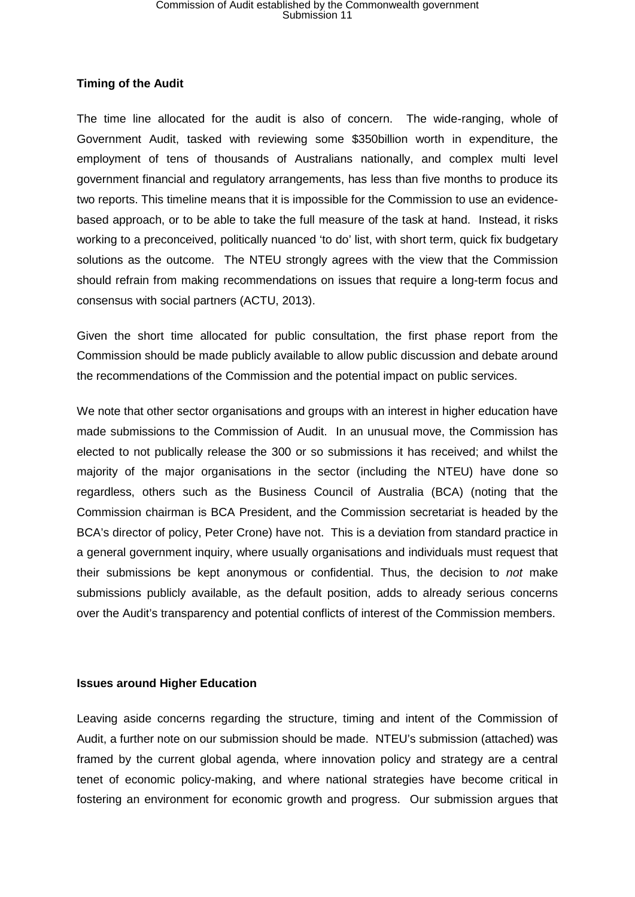### **Timing of the Audit**

The time line allocated for the audit is also of concern. The wide-ranging, whole of Government Audit, tasked with reviewing some \$350billion worth in expenditure, the employment of tens of thousands of Australians nationally, and complex multi level government financial and regulatory arrangements, has less than five months to produce its two reports. This timeline means that it is impossible for the Commission to use an evidencebased approach, or to be able to take the full measure of the task at hand. Instead, it risks working to a preconceived, politically nuanced 'to do' list, with short term, quick fix budgetary solutions as the outcome. The NTEU strongly agrees with the view that the Commission should refrain from making recommendations on issues that require a long-term focus and consensus with social partners (ACTU, 2013).

Given the short time allocated for public consultation, the first phase report from the Commission should be made publicly available to allow public discussion and debate around the recommendations of the Commission and the potential impact on public services.

We note that other sector organisations and groups with an interest in higher education have made submissions to the Commission of Audit. In an unusual move, the Commission has elected to not publically release the 300 or so submissions it has received; and whilst the majority of the major organisations in the sector (including the NTEU) have done so regardless, others such as the Business Council of Australia (BCA) (noting that the Commission chairman is BCA President, and the Commission secretariat is headed by the BCA's director of policy, Peter Crone) have not. This is a deviation from standard practice in a general government inquiry, where usually organisations and individuals must request that their submissions be kept anonymous or confidential. Thus, the decision to *not* make submissions publicly available, as the default position, adds to already serious concerns over the Audit's transparency and potential conflicts of interest of the Commission members.

#### **Issues around Higher Education**

Leaving aside concerns regarding the structure, timing and intent of the Commission of Audit, a further note on our submission should be made. NTEU's submission (attached) was framed by the current global agenda, where innovation policy and strategy are a central tenet of economic policy-making, and where national strategies have become critical in fostering an environment for economic growth and progress. Our submission argues that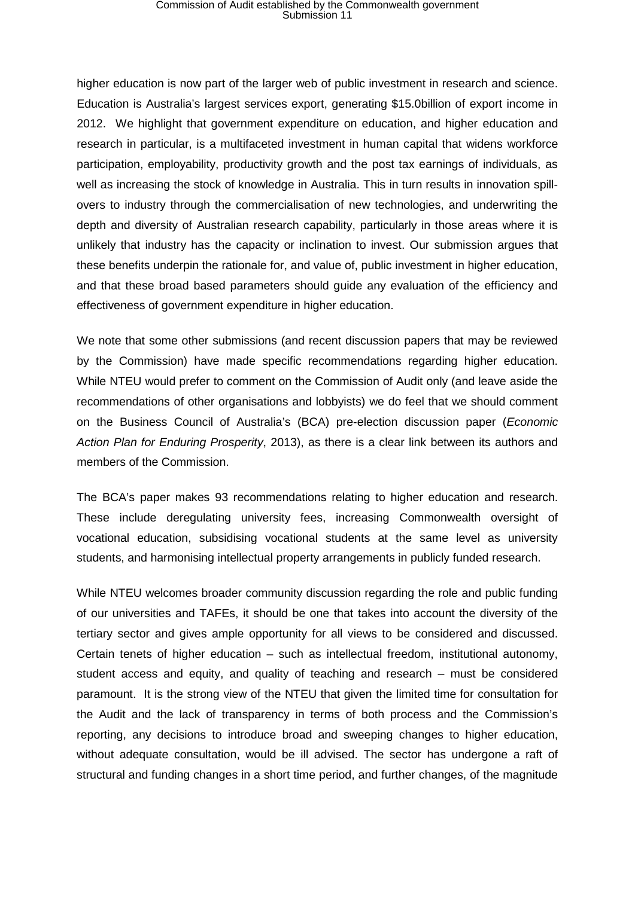## Commission of Audit established by the Commonwealth government Submission 11

higher education is now part of the larger web of public investment in research and science. Education is Australia's largest services export, generating \$15.0billion of export income in 2012. We highlight that government expenditure on education, and higher education and research in particular, is a multifaceted investment in human capital that widens workforce participation, employability, productivity growth and the post tax earnings of individuals, as well as increasing the stock of knowledge in Australia. This in turn results in innovation spillovers to industry through the commercialisation of new technologies, and underwriting the depth and diversity of Australian research capability, particularly in those areas where it is unlikely that industry has the capacity or inclination to invest. Our submission argues that these benefits underpin the rationale for, and value of, public investment in higher education, and that these broad based parameters should guide any evaluation of the efficiency and effectiveness of government expenditure in higher education.

We note that some other submissions (and recent discussion papers that may be reviewed by the Commission) have made specific recommendations regarding higher education. While NTEU would prefer to comment on the Commission of Audit only (and leave aside the recommendations of other organisations and lobbyists) we do feel that we should comment on the Business Council of Australia's (BCA) pre-election discussion paper (*Economic Action Plan for Enduring Prosperity*, 2013), as there is a clear link between its authors and members of the Commission.

The BCA's paper makes 93 recommendations relating to higher education and research. These include deregulating university fees, increasing Commonwealth oversight of vocational education, subsidising vocational students at the same level as university students, and harmonising intellectual property arrangements in publicly funded research.

While NTEU welcomes broader community discussion regarding the role and public funding of our universities and TAFEs, it should be one that takes into account the diversity of the tertiary sector and gives ample opportunity for all views to be considered and discussed. Certain tenets of higher education – such as intellectual freedom, institutional autonomy, student access and equity, and quality of teaching and research – must be considered paramount. It is the strong view of the NTEU that given the limited time for consultation for the Audit and the lack of transparency in terms of both process and the Commission's reporting, any decisions to introduce broad and sweeping changes to higher education, without adequate consultation, would be ill advised. The sector has undergone a raft of structural and funding changes in a short time period, and further changes, of the magnitude